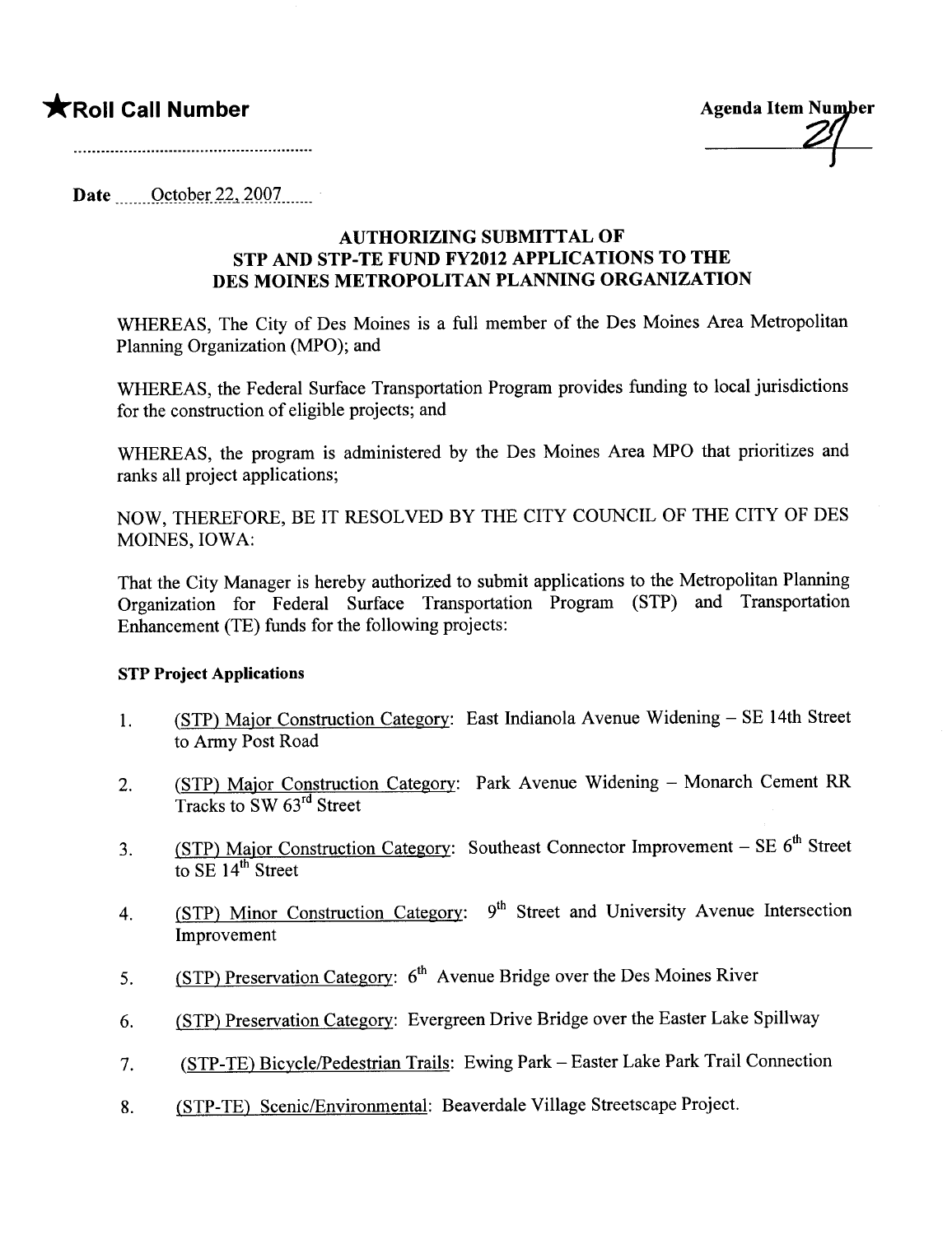## **\*Roll Call Number** errors and the second of the second of the second of the second of the second of the second of the second of the second of the second of the second of the second of the second of the second of the secon

Date  $\qquad$  October 22, 2007.......

### AUTHORIZING SUBMITTAL OF STP AND STP-TE FUND FY2012 APPLICATIONS TO THE DES MOINES METROPOLITAN PLANNING ORGANIZATION

WHEREAS, The City of Des Moines is a full member of the Des Moines Area Metropolitan Planning Organization (MPO); and

WHEREAS, the Federal Surface Transportation Program provides funding to local jurisdictions for the construction of eligible projects; and

WHEREAS, the program is administered by the Des Moines Area MPO that prioritizes and ranks all project applications;

NOW, THEREFORE, BE IT RESOLVED BY THE CITY COUNCIL OF THE CITY OF DES MOINES, IOWA:

That the City Manager is hereby authorized to submit applications to the Metropolitan Planning Organization for Federal Surface Transportation Program (STP) and Transportation Enhancement (TE) fuds for the following projects:

#### STP Project Applications

- 1. (STP) Major Construction Category: East Indianola Avenue Widening SE 14th Street to Army Post Road
- 2. (STP) Major Construction Category: Park Avenue Widening Monarch Cement RR Tracks to SW 63<sup>rd</sup> Street
- 3. (STP) Major Construction Category: Southeast Connector Improvement SE 6<sup>th</sup> Street to SE 14<sup>th</sup> Street
- 4. (STP) Minor Construction Category: 9<sup>th</sup> Street and University Avenue Intersection Improvement
- 5. (STP) Preservation Category:  $6<sup>th</sup>$  Avenue Bridge over the Des Moines River
- 6. (STP) Preservation Category: Evergreen Drive Bridge over the Easter Lake Spilway
- 7. (STP-TE) Bicycle/Pedestrian Trails: Ewing Park Easter Lake Park Trail Connection
- 8. (STP-TE) Scenic/Environmental: Beaverdale Village Streetscape Project.